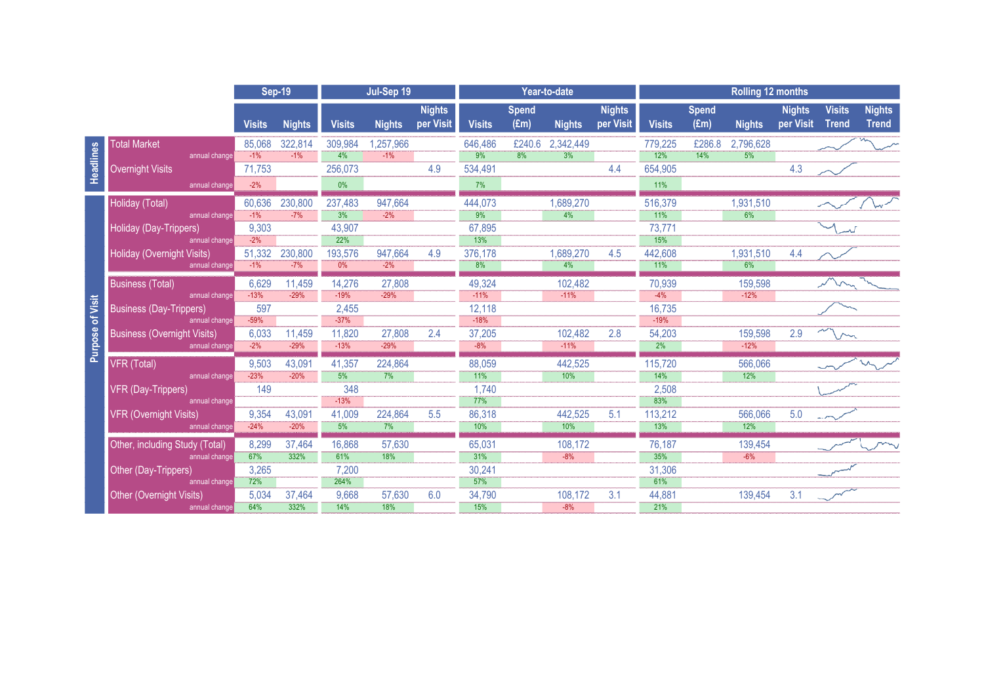|                         |                                             | <b>Sep-19</b>    |                  | Jul-Sep 19       |                   |                            | Year-to-date      |                      |                   |                            | <b>Rolling 12 months</b> |                               |                   |                            |                               |                               |
|-------------------------|---------------------------------------------|------------------|------------------|------------------|-------------------|----------------------------|-------------------|----------------------|-------------------|----------------------------|--------------------------|-------------------------------|-------------------|----------------------------|-------------------------------|-------------------------------|
|                         |                                             | <b>Visits</b>    | <b>Nights</b>    | <b>Visits</b>    | <b>Nights</b>     | <b>Nights</b><br>per Visit | <b>Visits</b>     | <b>Spend</b><br>(Em) | <b>Nights</b>     | <b>Nights</b><br>per Visit | <b>Visits</b>            | <b>Spend</b><br>$(\text{Em})$ | <b>Nights</b>     | <b>Nights</b><br>per Visit | <b>Visits</b><br><b>Trend</b> | <b>Nights</b><br><b>Trend</b> |
|                         | <b>Total Market</b>                         | 85.068           | 322,814          | 309,984          | 1,257,966         |                            | 646,486           | £240.6               | 2,342,449         |                            | 779.225                  | £286.8                        | 2,796,628         |                            |                               |                               |
| Headlines               | annual change                               | $-1\%$           | $-1\%$           | 4%               | $-1\%$            |                            | 9%                | $\frac{1}{8\%}$      | 3%                |                            | 12%                      | 14%                           | 5%                |                            |                               |                               |
|                         | <b>Overnight Visits</b>                     | 71,753           |                  | 256,073          |                   | 4.9                        | 534,491           |                      |                   | 4.4                        | 654,905                  |                               |                   | 4.3                        |                               |                               |
|                         | annual change                               | $-2%$            |                  | 0%               |                   |                            | 7%                |                      |                   |                            | 11%                      |                               |                   |                            |                               |                               |
| <b>Purpose of Visit</b> | Holiday (Total)                             | 60,636           | 230,800          | 237,483          | 947,664           |                            | 444,073           |                      | 1,689,270         |                            | 516,379                  |                               | 1,931,510         |                            |                               |                               |
|                         | annual change                               | $-1\%$           | $-7%$            | 3%               | $-2%$             |                            | 9%                |                      | 4%                |                            | 11%                      |                               | 6%                |                            |                               |                               |
|                         | Holiday (Day-Trippers)                      | 9,303            |                  | 43.907           |                   |                            | 67,895            |                      |                   |                            | 73,771                   |                               |                   |                            |                               |                               |
|                         | annual change                               | $-2%$            |                  | 22%              |                   |                            | 13%               |                      |                   |                            | 15%                      |                               |                   |                            |                               |                               |
|                         | Holiday (Overnight Visits)<br>annual change | 51,332<br>$-1\%$ | 230,800<br>$-7%$ | 193,576<br>0%    | 947,664<br>$-2\%$ | 4.9                        | 376,178<br>8%     |                      | 1,689,270<br>4%   | 4.5                        | 442,608<br>11%           |                               | 1,931,510<br>6%   | 4.4                        |                               |                               |
|                         |                                             |                  |                  |                  |                   |                            |                   |                      |                   |                            |                          |                               |                   |                            |                               |                               |
|                         | <b>Business (Total)</b><br>annual change    | 6,629<br>$-13%$  | 11,459<br>$-29%$ | 14,276<br>$-19%$ | 27,808<br>$-29%$  |                            | 49,324<br>$-11\%$ |                      | 102,482<br>$-11%$ |                            | 70,939<br>$-4%$          |                               | 159,598<br>$-12%$ |                            |                               |                               |
|                         | <b>Business (Day-Trippers)</b>              | 597              |                  | 2,455            |                   |                            | 12,118            |                      |                   |                            | 16,735                   |                               |                   |                            |                               |                               |
|                         | annual change                               | $-59%$           |                  | $-37%$           |                   |                            | $-18%$            |                      |                   |                            | $-19%$                   |                               |                   |                            |                               |                               |
|                         | <b>Business (Overnight Visits)</b>          | 6,033            | 11,459           | 11,820           | 27,808            | 2.4                        | 37,205            |                      | 102,482           | 2.8                        | 54,203                   |                               | 159,598           | 2.9                        |                               |                               |
|                         | annual change                               | $-2\%$           | $-29%$           | $-13%$           | $-29%$            |                            | $-8%$             |                      | $-11%$            |                            | 2%                       |                               | $-12%$            |                            |                               |                               |
|                         | VFR (Total)                                 | 9,503            | 43,091           | 41,357           | 224,864           |                            | 88,059            |                      | 442,525           |                            | 115,720                  |                               | 566,066           |                            |                               |                               |
|                         | annual change                               | $-23%$           | $-20%$           | 5%               | 7%                |                            | 11%               |                      | 10%               |                            | 14%                      |                               | 12%               |                            |                               |                               |
|                         | VFR (Day-Trippers)                          | 149              |                  | 348              |                   |                            | 1.740             |                      |                   |                            | 2,508                    |                               |                   |                            |                               |                               |
|                         | annual change                               |                  |                  | $-13%$           |                   |                            | 77%               |                      |                   |                            | 83%                      |                               |                   |                            |                               |                               |
|                         | <b>VFR (Overnight Visits)</b>               | 9,354<br>$-24%$  | 43,091<br>$-20%$ | 41.009<br>5%     | 224,864<br>7%     | 5.5                        | 86,318<br>10%     |                      | 442,525<br>10%    | 5.1                        | 113,212<br>13%           |                               | 566,066<br>12%    | 5.0                        |                               |                               |
|                         | annual change                               |                  |                  |                  |                   |                            |                   |                      |                   |                            |                          |                               |                   |                            |                               |                               |
|                         | Other, including Study (Total)              | 8,299            | 37,464           | 16,868           | 57,630            |                            | 65,031            |                      | 108,172           |                            | 76,187                   |                               | 139,454           |                            |                               |                               |
|                         | annual change                               | 67%              | 332%             | 61%              | 18%               |                            | 31%               |                      | $-8%$             |                            | 35%                      |                               | $-6%$             |                            |                               |                               |
|                         | Other (Day-Trippers)<br>annual change       | 3,265<br>72%     |                  | 7.200<br>264%    |                   |                            | 30.241<br>57%     |                      |                   |                            | 31,306<br>61%            |                               |                   |                            |                               |                               |
|                         | <b>Other (Overnight Visits)</b>             | 5,034            | 37,464           | 9,668            | 57,630            | 6.0                        | 34,790            |                      | 108,172           | 3.1                        | 44,881                   |                               | 139.454           | 3.1                        |                               |                               |
|                         | annual change                               | 64%              | 332%             | 14%              | 18%               |                            | 15%               |                      | $-8%$             |                            | 21%                      |                               |                   |                            |                               |                               |